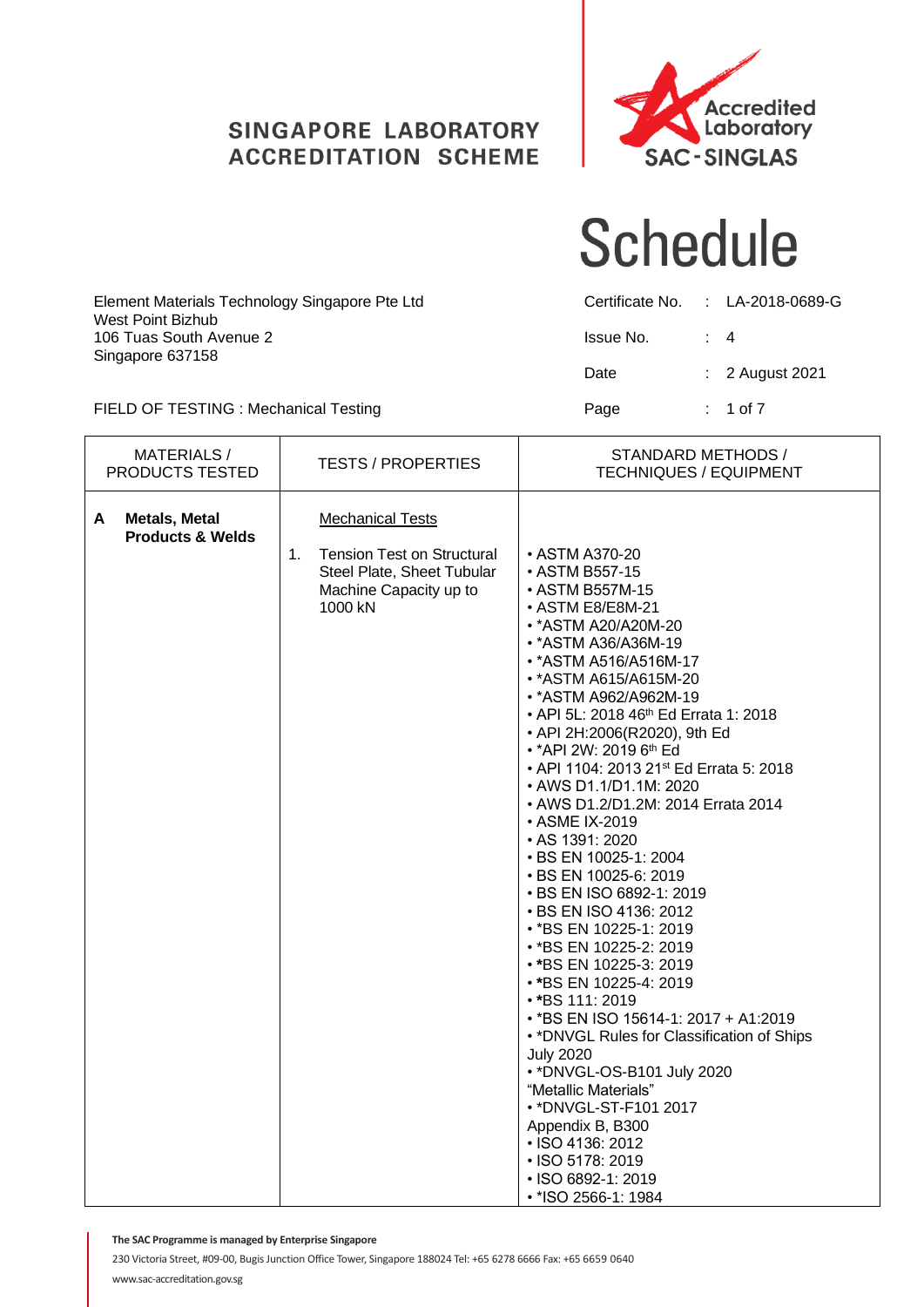#### **SINGAPORE LABORATORY ACCREDITATION SCHEME**



#### **Schedule**

| Element Materials Technology Singapore Pte Ltd<br>West Point Bizhub |           |           | Certificate No. : LA-2018-0689-G |
|---------------------------------------------------------------------|-----------|-----------|----------------------------------|
| 106 Tuas South Avenue 2                                             | Issue No. | $\cdot$ 4 |                                  |
| Singapore 637158                                                    | Date      |           | $\therefore$ 2 August 2021       |
| FIELD OF TESTING : Mechanical Testing                               | Page      |           | : 1 of 7                         |

MATERIALS /<br>PRODUCTS TESTED PRODUCTS TESTED TESTS / PROPERTIES STANDARD METHODS / TECHNIQUES / EQUIPMENT A **Metals, Metal** | Mechanical Tests **Products & Welds** 1. Tension Test on Structural • ASTM A370-20<br>Steel Plate Sheet Tubular • ASTM B557-15 Steel Plate, Sheet Tubular Machine Capacity up to **• ASTM B557M-15**<br>1000 kN<br>**• ASTM E8/E8M-2**  $\cdot$  ASTM E8/E8M-21 • \*ASTM A20/A20M-20 • \*ASTM A36/A36M-19 • \*ASTM A516/A516M-17 • \*ASTM A615/A615M-20 • \*ASTM A962/A962M-19 • API 5L: 2018 46<sup>th</sup> Ed Errata 1: 2018 • API 2H:2006(R2020), 9th Ed • \* API 2W: 2019 6<sup>th</sup> Ed • API 1104: 2013 21st Ed Errata 5: 2018 • AWS D1.1/D1.1M: 2020 • AWS D1.2/D1.2M: 2014 Errata 2014 • ASME IX-2019 • AS 1391: 2020 • BS EN 10025-1: 2004 • BS EN 10025-6: 2019 • BS EN ISO 6892-1: 2019 • BS EN ISO 4136: 2012 • \*BS EN 10225-1: 2019 • [\\*BS EN 10225-2:](http://shop.bsigroup.com/ProductDetail/?pid=000000000030346742) 2019 • **\***BS EN 10225-3: 2019 • **\***BS EN 10225-4: 2019 • **\***BS 111: 2019 • \*BS EN ISO 15614-1: 2017 + A1:2019 • \*DNVGL Rules for Classification of Ships July 2020 • \*DNVGL-OS-B101 July 2020 "Metallic Materials" • \*DNVGL-ST-F101 2017 Appendix B, B300 • ISO 4136: 2012 • ISO 5178: 2019 • ISO 6892-1: 2019 • \*ISO 2566-1: 1984

**The SAC Programme is managed by Enterprise Singapore**

230 Victoria Street, #09-00, Bugis Junction Office Tower, Singapore 188024 Tel: +65 6278 6666 Fax: +65 6659 0640 www.sac-accreditation.gov.sg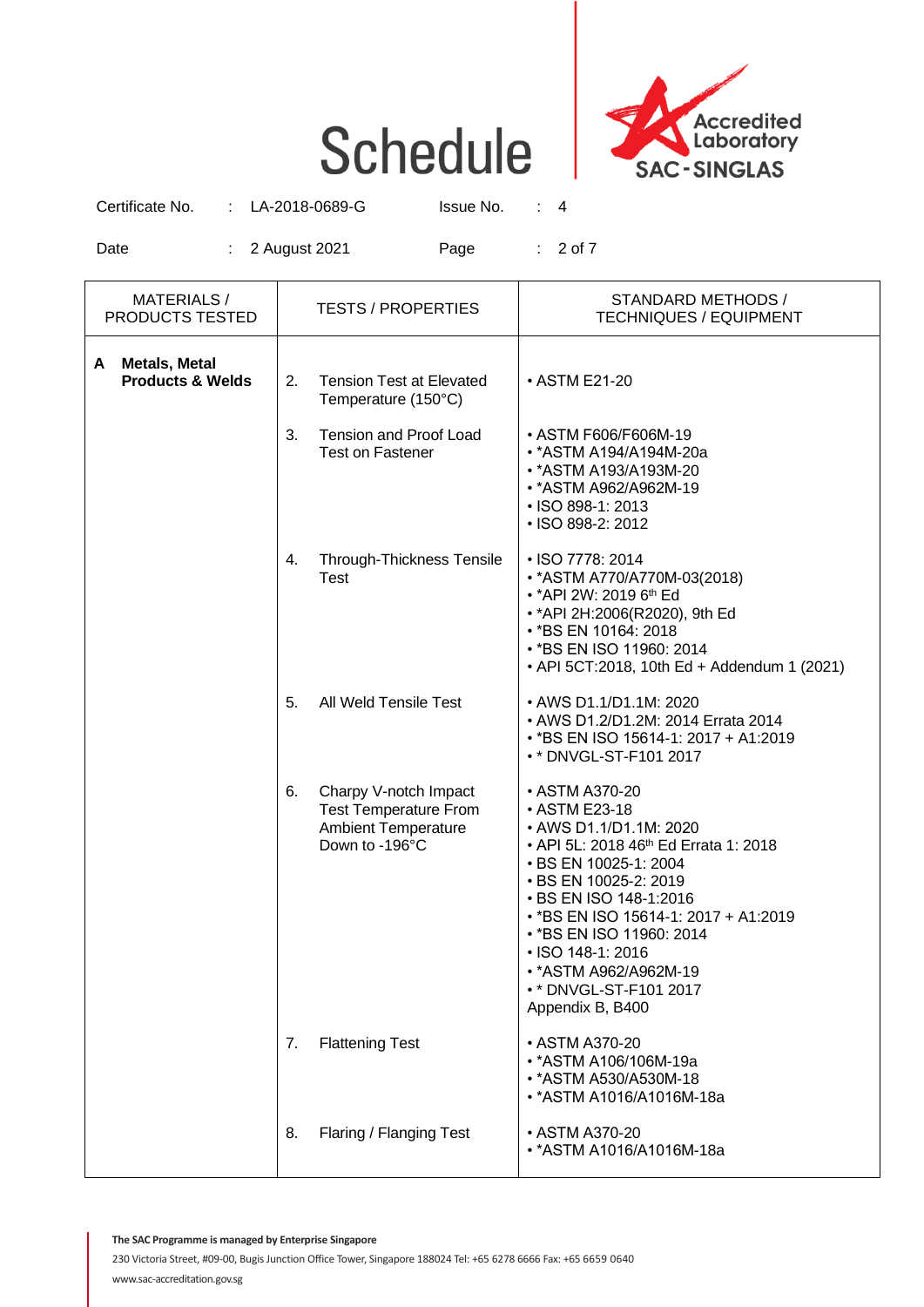

Certificate No. : LA-2018-0689-G Issue No. : 4

Date : 2 August 2021 Page : 2 of 7

| <b>MATERIALS/</b><br><b>TESTS / PROPERTIES</b><br>PRODUCTS TESTED |    |                                                                                                       | STANDARD METHODS /<br><b>TECHNIQUES / EQUIPMENT</b>                                                                                                                                                                                                                                                                                                         |
|-------------------------------------------------------------------|----|-------------------------------------------------------------------------------------------------------|-------------------------------------------------------------------------------------------------------------------------------------------------------------------------------------------------------------------------------------------------------------------------------------------------------------------------------------------------------------|
| <b>Metals, Metal</b><br>A<br><b>Products &amp; Welds</b>          | 2. | <b>Tension Test at Elevated</b><br>Temperature (150°C)                                                | • ASTM E21-20                                                                                                                                                                                                                                                                                                                                               |
|                                                                   | 3. | <b>Tension and Proof Load</b><br><b>Test on Fastener</b>                                              | • ASTM F606/F606M-19<br>• *ASTM A194/A194M-20a<br>• * ASTM A193/A193M-20<br>• *ASTM A962/A962M-19<br>• ISO 898-1: 2013<br>• ISO 898-2: 2012                                                                                                                                                                                                                 |
|                                                                   | 4. | <b>Through-Thickness Tensile</b><br>Test                                                              | • ISO 7778: 2014<br>• * ASTM A770/A770M-03(2018)<br>• *API 2W: 2019 6 <sup>th</sup> Ed<br>• * API 2H: 2006 (R2020), 9th Ed<br>• *BS EN 10164: 2018<br>• *BS EN ISO 11960: 2014<br>• API 5CT:2018, 10th Ed + Addendum 1 (2021)                                                                                                                               |
|                                                                   | 5. | All Weld Tensile Test                                                                                 | • AWS D1.1/D1.1M: 2020<br>• AWS D1.2/D1.2M: 2014 Errata 2014<br>• *BS EN ISO 15614-1: 2017 + A1:2019<br>• * DNVGL-ST-F101 2017                                                                                                                                                                                                                              |
|                                                                   | 6. | Charpy V-notch Impact<br><b>Test Temperature From</b><br><b>Ambient Temperature</b><br>Down to -196°C | • ASTM A370-20<br>• ASTM E23-18<br>• AWS D1.1/D1.1M: 2020<br>• API 5L: 2018 46 <sup>th</sup> Ed Errata 1: 2018<br>• BS EN 10025-1: 2004<br>• BS EN 10025-2: 2019<br>• BS EN ISO 148-1:2016<br>• *BS EN ISO 15614-1: 2017 + A1:2019<br>• *BS EN ISO 11960: 2014<br>• ISO 148-1: 2016<br>• * ASTM A962/A962M-19<br>• * DNVGL-ST-F101 2017<br>Appendix B, B400 |
|                                                                   | 7. | <b>Flattening Test</b>                                                                                | • ASTM A370-20<br>• * ASTM A106/106M-19a<br>• * ASTM A530/A530M-18<br>• *ASTM A1016/A1016M-18a                                                                                                                                                                                                                                                              |
|                                                                   | 8. | Flaring / Flanging Test                                                                               | • ASTM A370-20<br>• * ASTM A1016/A1016M-18a                                                                                                                                                                                                                                                                                                                 |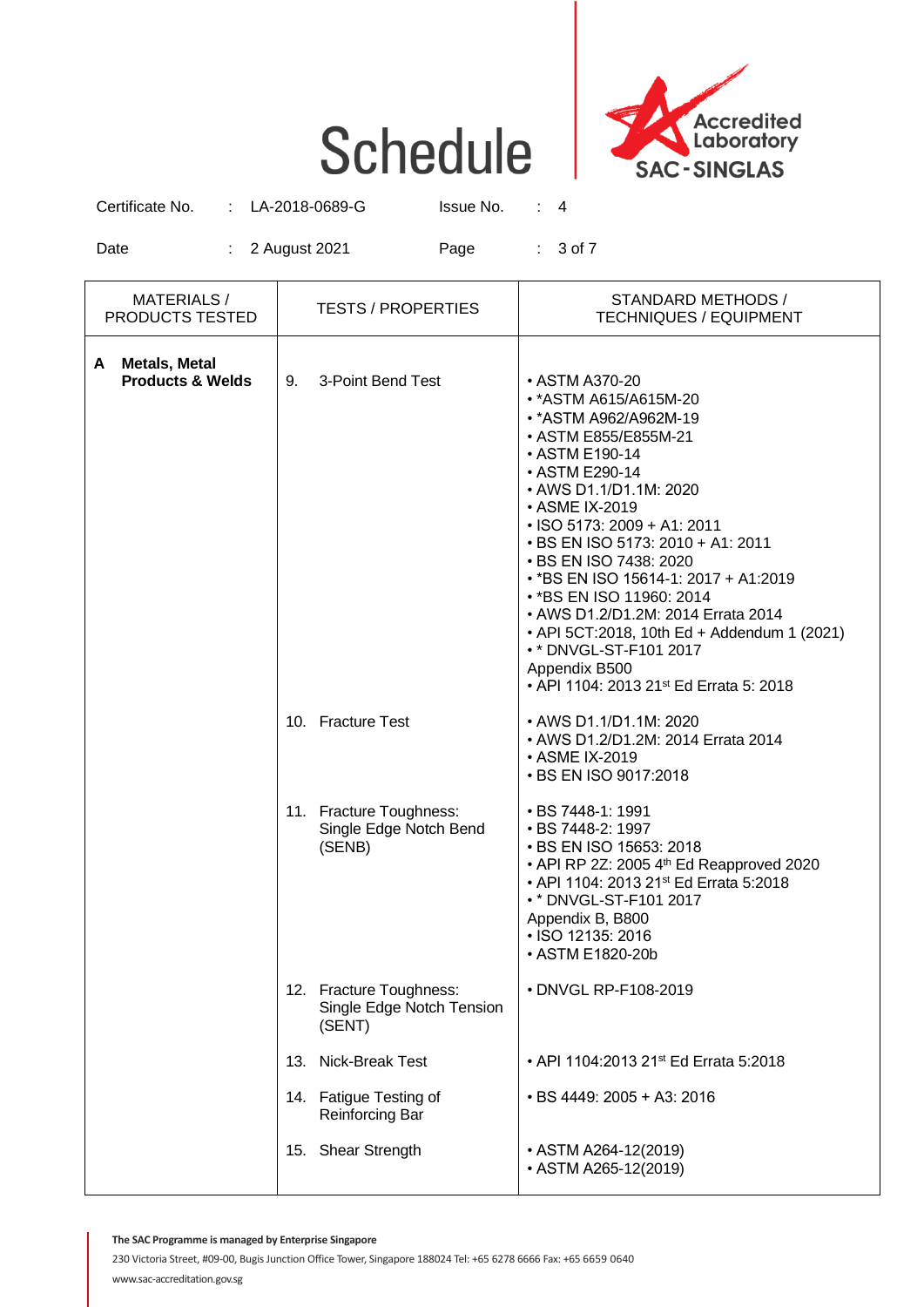

Certificate No. : LA-2018-0689-G Issue No. : 4

Date : 2 August 2021 Page : 3 of 7

| MATERIALS /<br><b>PRODUCTS TESTED</b>          | TESTS / PROPERTIES                                             | STANDARD METHODS /<br><b>TECHNIQUES / EQUIPMENT</b>                                                                                                                                                                                                                                                                                                                                                                                                                                                                            |
|------------------------------------------------|----------------------------------------------------------------|--------------------------------------------------------------------------------------------------------------------------------------------------------------------------------------------------------------------------------------------------------------------------------------------------------------------------------------------------------------------------------------------------------------------------------------------------------------------------------------------------------------------------------|
| A Metals, Metal<br><b>Products &amp; Welds</b> | 9. 3-Point Bend Test                                           | • ASTM A370-20<br>• * ASTM A615/A615M-20<br>• * ASTM A962/A962M-19<br>• ASTM E855/E855M-21<br>• ASTM E190-14<br>• ASTM E290-14<br>• AWS D1.1/D1.1M: 2020<br>• ASME IX-2019<br>$\cdot$ ISO 5173: 2009 + A1: 2011<br>• BS EN ISO 5173: 2010 + A1: 2011<br>• BS EN ISO 7438: 2020<br>• *BS EN ISO 15614-1: 2017 + A1:2019<br>• * BS EN ISO 11960: 2014<br>• AWS D1.2/D1.2M: 2014 Errata 2014<br>• API 5CT:2018, 10th Ed + Addendum 1 (2021)<br>• * DNVGL-ST-F101 2017<br>Appendix B500<br>• API 1104: 2013 21st Ed Errata 5: 2018 |
|                                                | 10. Fracture Test                                              | • AWS D1.1/D1.1M: 2020<br>• AWS D1.2/D1.2M: 2014 Errata 2014<br>• ASME IX-2019<br>• BS EN ISO 9017:2018                                                                                                                                                                                                                                                                                                                                                                                                                        |
|                                                | 11. Fracture Toughness:<br>Single Edge Notch Bend<br>(SENB)    | • BS 7448-1: 1991<br>• BS 7448-2: 1997<br>• BS EN ISO 15653: 2018<br>• API RP 2Z: 2005 4 <sup>th</sup> Ed Reapproved 2020<br>• API 1104: 2013 21st Ed Errata 5:2018<br>• * DNVGL-ST-F101 2017<br>Appendix B, B800<br>• ISO 12135: 2016<br>• ASTM E1820-20b                                                                                                                                                                                                                                                                     |
|                                                | 12. Fracture Toughness:<br>Single Edge Notch Tension<br>(SENT) | • DNVGL RP-F108-2019                                                                                                                                                                                                                                                                                                                                                                                                                                                                                                           |
|                                                | 13. Nick-Break Test                                            | • API 1104:2013 21st Ed Errata 5:2018                                                                                                                                                                                                                                                                                                                                                                                                                                                                                          |
|                                                | 14. Fatigue Testing of<br><b>Reinforcing Bar</b>               | • BS 4449: 2005 + A3: 2016                                                                                                                                                                                                                                                                                                                                                                                                                                                                                                     |
|                                                | 15. Shear Strength                                             | • ASTM A264-12(2019)<br>• ASTM A265-12(2019)                                                                                                                                                                                                                                                                                                                                                                                                                                                                                   |

**The SAC Programme is managed by Enterprise Singapore**

230 Victoria Street, #09-00, Bugis Junction Office Tower, Singapore 188024 Tel: +65 6278 6666 Fax: +65 6659 0640 www.sac-accreditation.gov.sg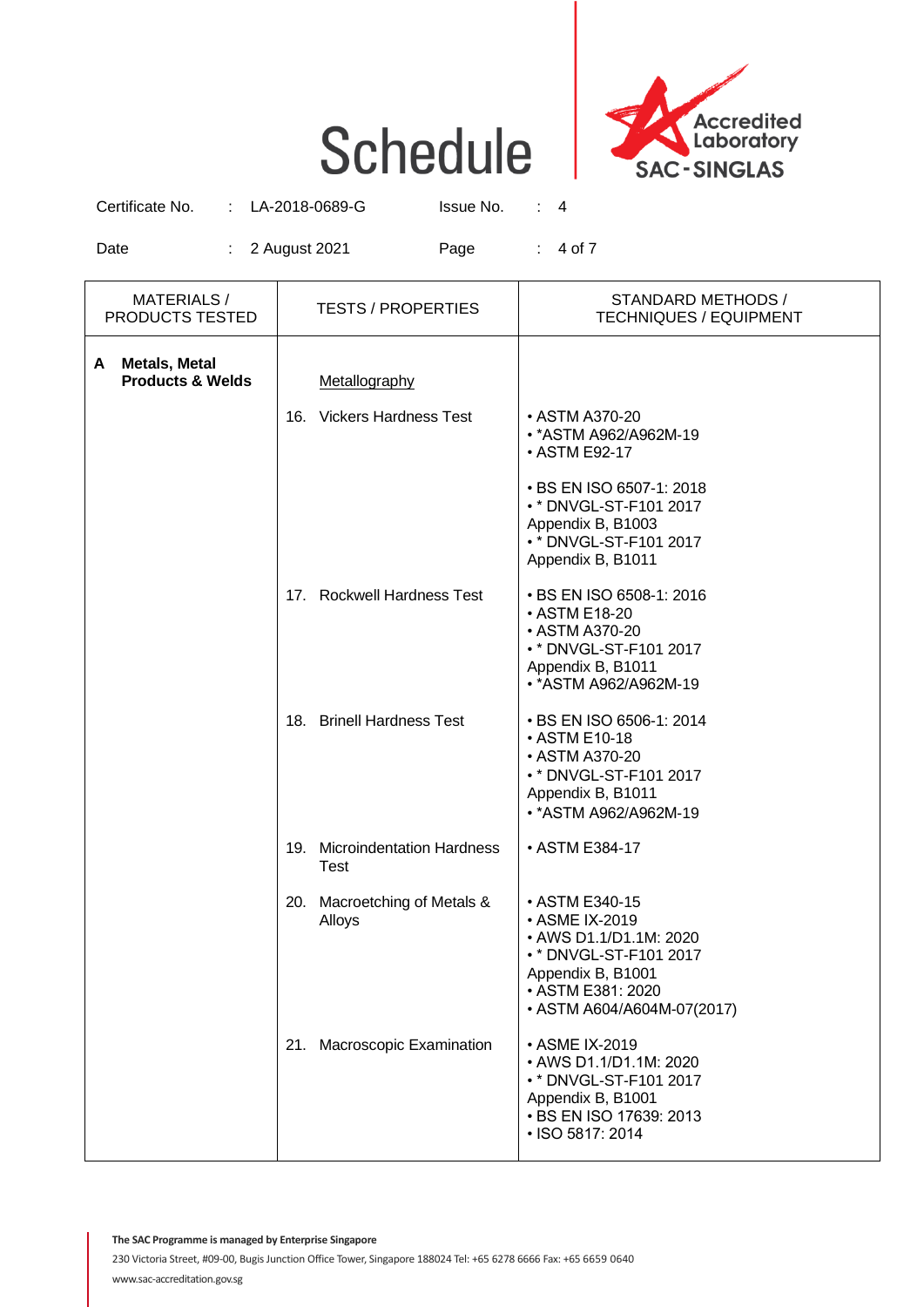

Certificate No. : LA-2018-0689-G Issue No. : 4

Date : 2 August 2021 Page : 4 of 7

|   | <b>MATERIALS/</b><br>PRODUCTS TESTED                | <b>TESTS / PROPERTIES</b> |                                        | STANDARD METHODS /<br><b>TECHNIQUES / EQUIPMENT</b>                                                                                                          |  |
|---|-----------------------------------------------------|---------------------------|----------------------------------------|--------------------------------------------------------------------------------------------------------------------------------------------------------------|--|
| A | <b>Metals, Metal</b><br><b>Products &amp; Welds</b> |                           | Metallography                          |                                                                                                                                                              |  |
|   |                                                     |                           | 16. Vickers Hardness Test              | • ASTM A370-20<br>• * ASTM A962/A962M-19<br>• ASTM E92-17                                                                                                    |  |
|   |                                                     |                           |                                        | • BS EN ISO 6507-1: 2018<br>• * DNVGL-ST-F101 2017<br>Appendix B, B1003<br>• * DNVGL-ST-F101 2017<br>Appendix B, B1011                                       |  |
|   |                                                     |                           | 17. Rockwell Hardness Test             | • BS EN ISO 6508-1: 2016<br>• ASTM E18-20<br>• ASTM A370-20<br>• * DNVGL-ST-F101 2017<br>Appendix B, B1011<br>• * ASTM A962/A962M-19                         |  |
|   |                                                     |                           | 18. Brinell Hardness Test              | • BS EN ISO 6506-1: 2014<br>• ASTM E10-18<br>• ASTM A370-20<br>• * DNVGL-ST-F101 2017<br>Appendix B, B1011<br>• * ASTM A962/A962M-19                         |  |
|   |                                                     |                           | 19. Microindentation Hardness<br>Test  | • ASTM E384-17                                                                                                                                               |  |
|   |                                                     |                           | 20. Macroetching of Metals &<br>Alloys | • ASTM E340-15<br>• ASME IX-2019<br>• AWS D1.1/D1.1M: 2020<br>• * DNVGL-ST-F101 2017<br>Appendix B, B1001<br>• ASTM E381: 2020<br>• ASTM A604/A604M-07(2017) |  |
|   |                                                     |                           | 21. Macroscopic Examination            | • ASME IX-2019<br>• AWS D1.1/D1.1M: 2020<br>• * DNVGL-ST-F101 2017<br>Appendix B, B1001<br>• BS EN ISO 17639: 2013<br>• ISO 5817: 2014                       |  |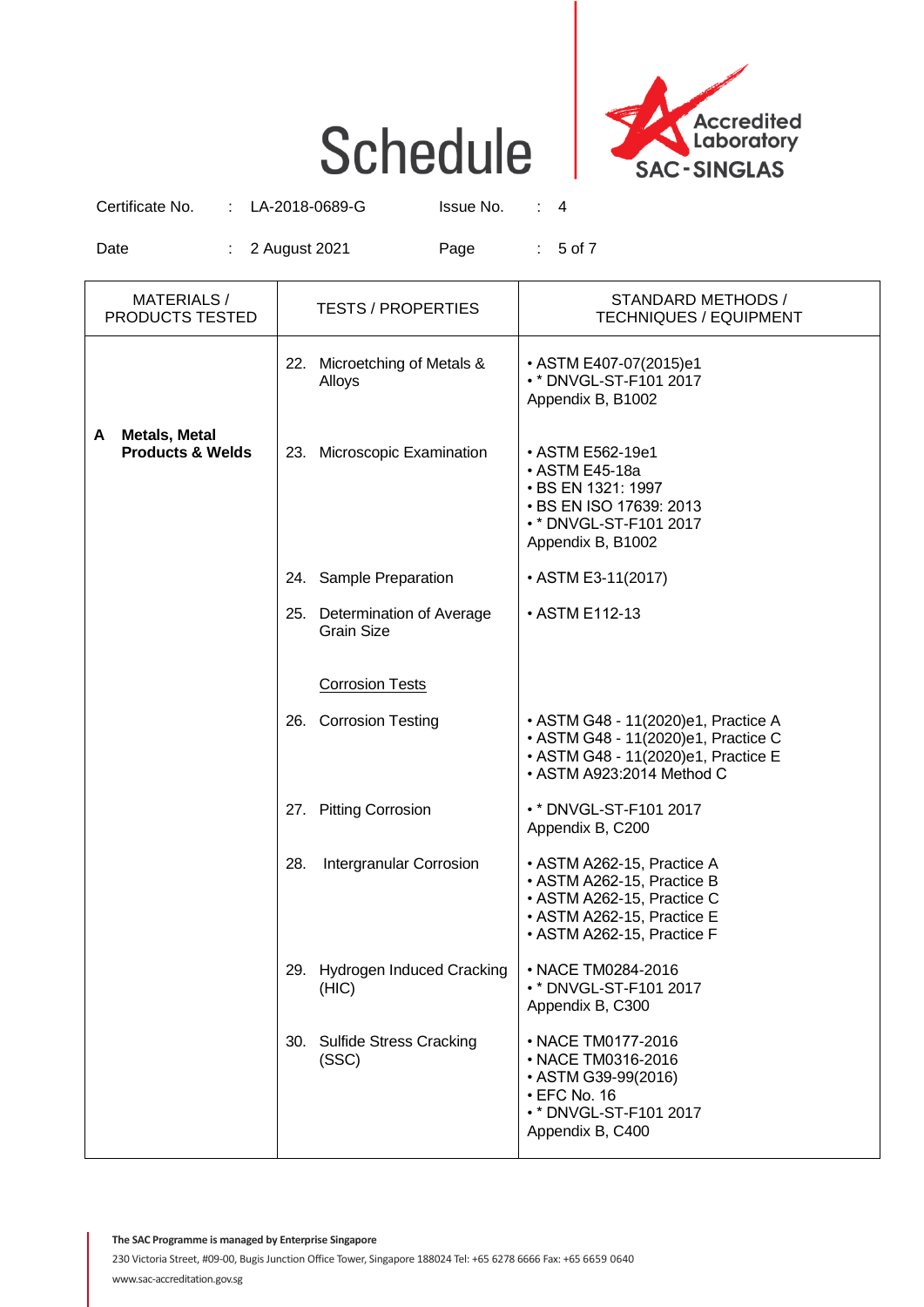

Certificate No. : LA-2018-0689-G Issue No. : 4

Date : 2 August 2021 Page : 5 of 7

|   | MATERIALS /<br>PRODUCTS TESTED                      |     | <b>TESTS / PROPERTIES</b>                         | STANDARD METHODS /<br><b>TECHNIQUES / EQUIPMENT</b>                                                                                                |
|---|-----------------------------------------------------|-----|---------------------------------------------------|----------------------------------------------------------------------------------------------------------------------------------------------------|
|   |                                                     |     | 22. Microetching of Metals &<br>Alloys            | • ASTM E407-07(2015)e1<br>• * DNVGL-ST-F101 2017<br>Appendix B, B1002                                                                              |
| A | <b>Metals, Metal</b><br><b>Products &amp; Welds</b> |     | 23. Microscopic Examination                       | • ASTM E562-19e1<br>• ASTM E45-18a<br>• BS EN 1321: 1997<br>• BS EN ISO 17639: 2013<br>• * DNVGL-ST-F101 2017<br>Appendix B, B1002                 |
|   |                                                     |     | 24. Sample Preparation                            | • ASTM E3-11(2017)                                                                                                                                 |
|   |                                                     |     | 25. Determination of Average<br><b>Grain Size</b> | • ASTM E112-13                                                                                                                                     |
|   |                                                     |     | <b>Corrosion Tests</b>                            |                                                                                                                                                    |
|   |                                                     |     | 26. Corrosion Testing                             | • ASTM G48 - 11(2020)e1, Practice A<br>• ASTM G48 - 11(2020)e1, Practice C<br>• ASTM G48 - 11(2020)e1, Practice E<br>• ASTM A923:2014 Method C     |
|   |                                                     |     | 27. Pitting Corrosion                             | • * DNVGL-ST-F101 2017<br>Appendix B, C200                                                                                                         |
|   |                                                     | 28. | Intergranular Corrosion                           | • ASTM A262-15, Practice A<br>• ASTM A262-15, Practice B<br>• ASTM A262-15, Practice C<br>• ASTM A262-15, Practice E<br>• ASTM A262-15, Practice F |
|   |                                                     |     | 29. Hydrogen Induced Cracking<br>(HIC)            | • NACE TM0284-2016<br>• * DNVGL-ST-F101 2017<br>Appendix B, C300                                                                                   |
|   |                                                     |     | 30. Sulfide Stress Cracking<br>(SSC)              | • NACE TM0177-2016<br>• NACE TM0316-2016<br>• ASTM G39-99(2016)<br>$\cdot$ EFC No. 16<br>• * DNVGL-ST-F101 2017<br>Appendix B, C400                |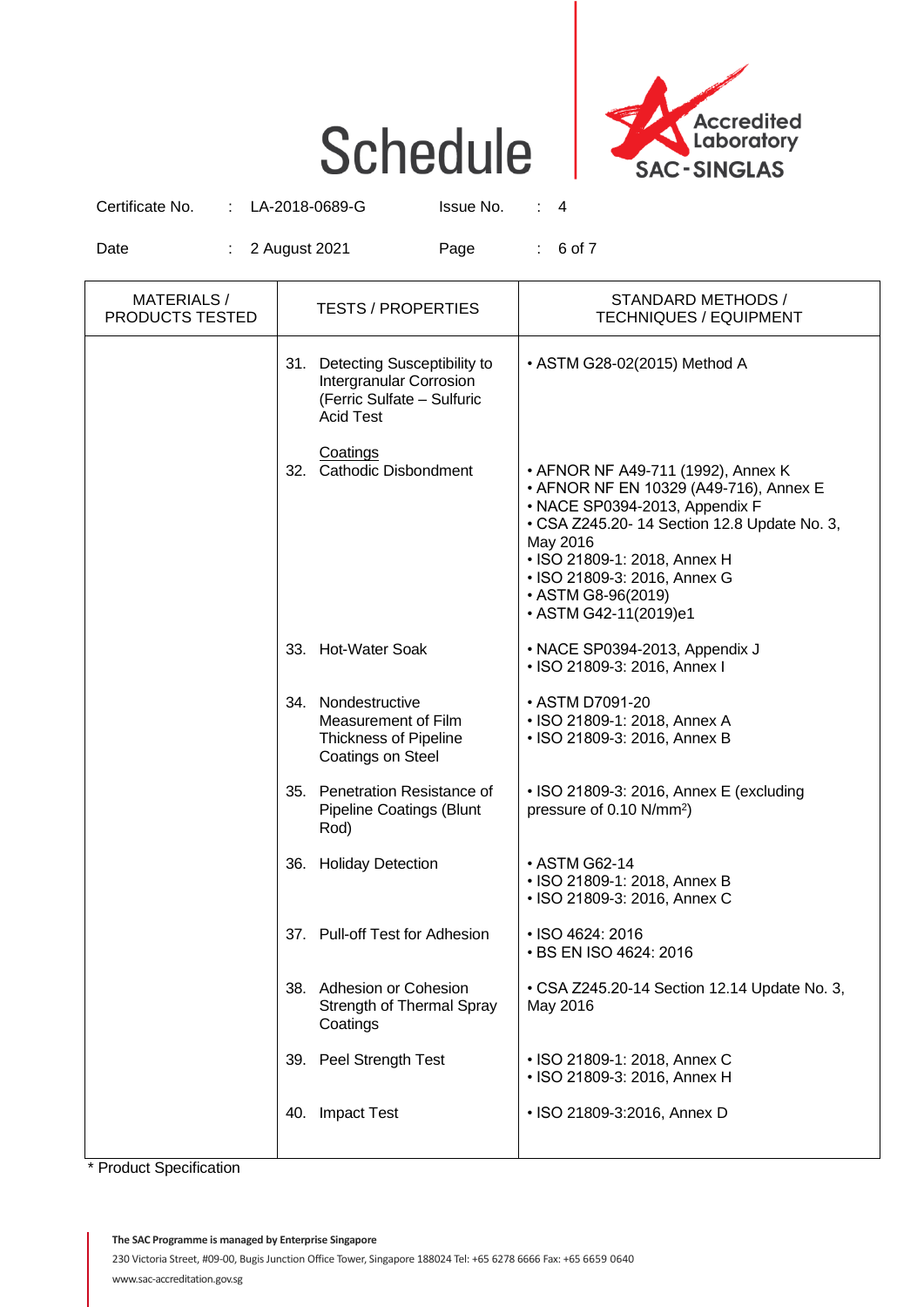

Certificate No. : LA-2018-0689-G Issue No. : 4

Date : 2 August 2021 Page : 6 of 7

| <b>MATERIALS/</b><br>PRODUCTS TESTED | <b>TESTS / PROPERTIES</b>                                                                                    | STANDARD METHODS /<br><b>TECHNIQUES / EQUIPMENT</b>                                                                                                                                                                                                                                      |
|--------------------------------------|--------------------------------------------------------------------------------------------------------------|------------------------------------------------------------------------------------------------------------------------------------------------------------------------------------------------------------------------------------------------------------------------------------------|
|                                      | 31. Detecting Susceptibility to<br>Intergranular Corrosion<br>(Ferric Sulfate - Sulfuric<br><b>Acid Test</b> | • ASTM G28-02(2015) Method A                                                                                                                                                                                                                                                             |
|                                      | Coatings<br>32. Cathodic Disbondment                                                                         | • AFNOR NF A49-711 (1992), Annex K<br>• AFNOR NF EN 10329 (A49-716), Annex E<br>• NACE SP0394-2013, Appendix F<br>• CSA Z245.20-14 Section 12.8 Update No. 3,<br>May 2016<br>• ISO 21809-1: 2018, Annex H<br>• ISO 21809-3: 2016, Annex G<br>• ASTM G8-96(2019)<br>• ASTM G42-11(2019)e1 |
|                                      | 33. Hot-Water Soak                                                                                           | • NACE SP0394-2013, Appendix J<br>• ISO 21809-3: 2016, Annex I                                                                                                                                                                                                                           |
|                                      | 34. Nondestructive<br>Measurement of Film<br><b>Thickness of Pipeline</b><br>Coatings on Steel               | • ASTM D7091-20<br>• ISO 21809-1: 2018, Annex A<br>• ISO 21809-3: 2016, Annex B                                                                                                                                                                                                          |
|                                      | 35. Penetration Resistance of<br><b>Pipeline Coatings (Blunt</b><br>Rod)                                     | • ISO 21809-3: 2016, Annex E (excluding<br>pressure of 0.10 N/mm <sup>2</sup> )                                                                                                                                                                                                          |
|                                      | 36. Holiday Detection                                                                                        | • ASTM G62-14<br>• ISO 21809-1: 2018, Annex B<br>• ISO 21809-3: 2016, Annex C                                                                                                                                                                                                            |
|                                      | 37. Pull-off Test for Adhesion                                                                               | • ISO 4624: 2016<br>• BS EN ISO 4624: 2016                                                                                                                                                                                                                                               |
|                                      | 38. Adhesion or Cohesion<br>Strength of Thermal Spray<br>Coatings                                            | • CSA Z245.20-14 Section 12.14 Update No. 3,<br>May 2016                                                                                                                                                                                                                                 |
|                                      | 39. Peel Strength Test                                                                                       | • ISO 21809-1: 2018, Annex C<br>• ISO 21809-3: 2016, Annex H                                                                                                                                                                                                                             |
|                                      | 40. Impact Test                                                                                              | • ISO 21809-3:2016, Annex D                                                                                                                                                                                                                                                              |

\* Product Specification